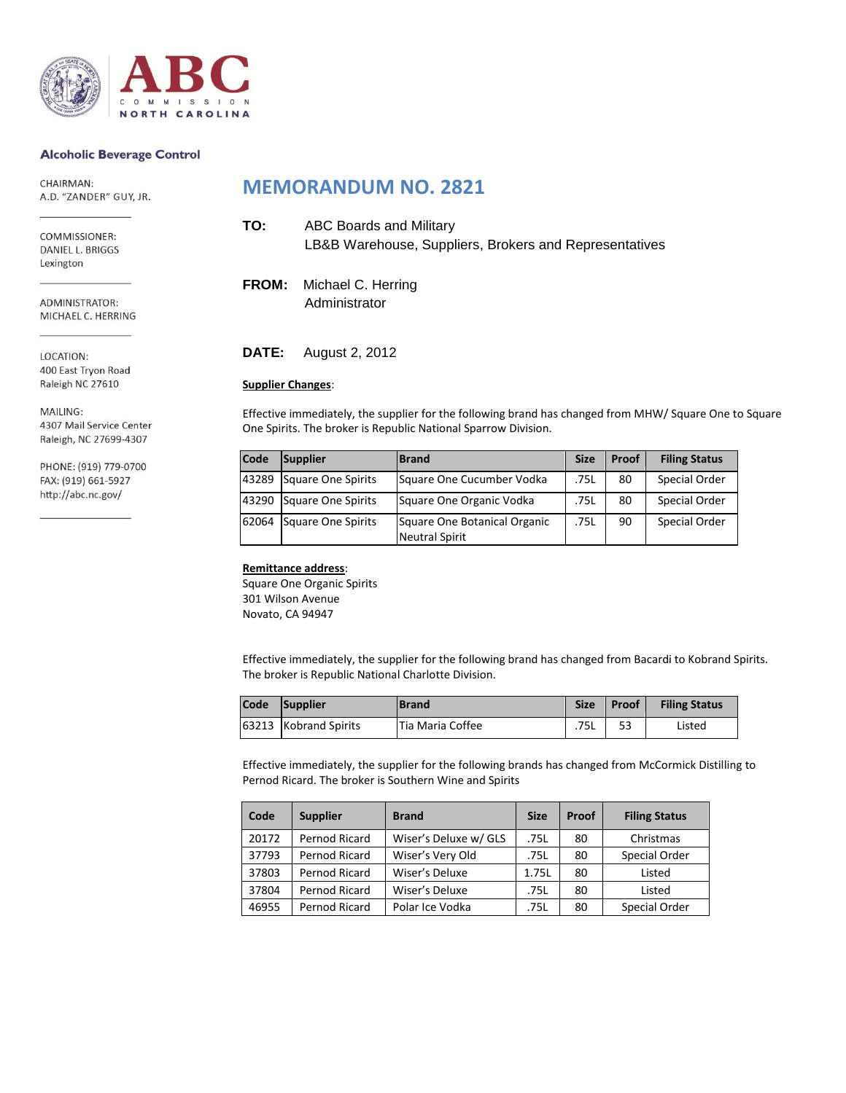

#### **Alcoholic Beverage Control**

CHAIRMAN: A.D. "ZANDER" GUY, JR.

COMMISSIONER: DANIEL L. BRIGGS Lexington

ADMINISTRATOR: MICHAEL C. HERRING

LOCATION: 400 East Tryon Road Raleigh NC 27610

MAILING: 4307 Mail Service Center Raleigh, NC 27699-4307

PHONE: (919) 779-0700 FAX: (919) 661-5927 http://abc.nc.gov/

## **MEMORANDUM NO. 2821**

| TO: | ABC Boards and Military                                |
|-----|--------------------------------------------------------|
|     | LB&B Warehouse, Suppliers, Brokers and Representatives |

**FROM:** Michael C. Herring Administrator

**DATE:** August 2, 2012

#### **Supplier Changes**:

Effective immediately, the supplier for the following brand has changed from MHW/ Square One to Square One Spirits. The broker is Republic National Sparrow Division.

| <b>Code</b> | Supplier           | <b>Brand</b>                                          | <b>Size</b> | Proof | <b>Filing Status</b> |
|-------------|--------------------|-------------------------------------------------------|-------------|-------|----------------------|
| 43289       | Square One Spirits | Square One Cucumber Vodka                             | .75L        | 80    | Special Order        |
| 43290       | Square One Spirits | Square One Organic Vodka                              | .75L        | 80    | Special Order        |
| 62064       | Square One Spirits | Square One Botanical Organic<br><b>Neutral Spirit</b> | .75L        | 90    | Special Order        |

#### **Remittance address**:

Square One Organic Spirits 301 Wilson Avenue Novato, CA 94947

Effective immediately, the supplier for the following brand has changed from Bacardi to Kobrand Spirits. The broker is Republic National Charlotte Division.

| Code | Supplier              | <b>IBrand</b>    | <b>Size</b> | Proof | <b>Filing Status</b> |
|------|-----------------------|------------------|-------------|-------|----------------------|
|      | 63213 Kobrand Spirits | Tia Maria Coffee | .75L        | 53    | Listed               |

Effective immediately, the supplier for the following brands has changed from McCormick Distilling to Pernod Ricard. The broker is Southern Wine and Spirits

| Code  | <b>Supplier</b> | <b>Brand</b>          | <b>Size</b> | Proof | <b>Filing Status</b> |
|-------|-----------------|-----------------------|-------------|-------|----------------------|
| 20172 | Pernod Ricard   | Wiser's Deluxe w/ GLS | .75L        | 80    | Christmas            |
| 37793 | Pernod Ricard   | Wiser's Very Old      | .75L        | 80    | Special Order        |
| 37803 | Pernod Ricard   | Wiser's Deluxe        | 1.75L       | 80    | Listed               |
| 37804 | Pernod Ricard   | Wiser's Deluxe        | .75L        | 80    | Listed               |
| 46955 | Pernod Ricard   | Polar Ice Vodka       | .75L        | 80    | Special Order        |